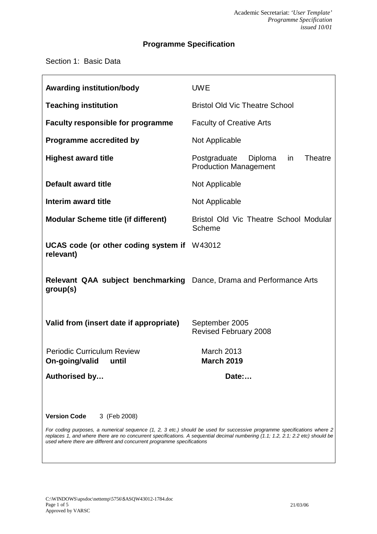## **Programme Specification**

Section 1: Basic Data

| <b>Awarding institution/body</b>                                                                                                                                                                                                                                                                                                     | <b>UWE</b>                                                                      |  |  |
|--------------------------------------------------------------------------------------------------------------------------------------------------------------------------------------------------------------------------------------------------------------------------------------------------------------------------------------|---------------------------------------------------------------------------------|--|--|
| <b>Teaching institution</b>                                                                                                                                                                                                                                                                                                          | <b>Bristol Old Vic Theatre School</b>                                           |  |  |
| <b>Faculty responsible for programme</b>                                                                                                                                                                                                                                                                                             | <b>Faculty of Creative Arts</b>                                                 |  |  |
| <b>Programme accredited by</b>                                                                                                                                                                                                                                                                                                       | Not Applicable                                                                  |  |  |
| <b>Highest award title</b>                                                                                                                                                                                                                                                                                                           | Postgraduate<br><b>Theatre</b><br>Diploma<br>in<br><b>Production Management</b> |  |  |
| <b>Default award title</b>                                                                                                                                                                                                                                                                                                           | Not Applicable                                                                  |  |  |
| Interim award title                                                                                                                                                                                                                                                                                                                  | Not Applicable                                                                  |  |  |
| <b>Modular Scheme title (if different)</b>                                                                                                                                                                                                                                                                                           | Bristol Old Vic Theatre School Modular<br>Scheme                                |  |  |
| UCAS code (or other coding system if W43012<br>relevant)                                                                                                                                                                                                                                                                             |                                                                                 |  |  |
| Relevant QAA subject benchmarking Dance, Drama and Performance Arts<br>group(s)                                                                                                                                                                                                                                                      |                                                                                 |  |  |
| Valid from (insert date if appropriate)                                                                                                                                                                                                                                                                                              | September 2005<br><b>Revised February 2008</b>                                  |  |  |
| <b>Periodic Curriculum Review</b><br>On-going/valid until                                                                                                                                                                                                                                                                            | <b>March 2013</b><br><b>March 2019</b>                                          |  |  |
| Authorised by                                                                                                                                                                                                                                                                                                                        | Date:                                                                           |  |  |
|                                                                                                                                                                                                                                                                                                                                      |                                                                                 |  |  |
| <b>Version Code</b><br>3 (Feb 2008)                                                                                                                                                                                                                                                                                                  |                                                                                 |  |  |
| For coding purposes, a numerical sequence (1, 2, 3 etc.) should be used for successive programme specifications where 2<br>replaces 1, and where there are no concurrent specifications. A sequential decimal numbering (1.1; 1.2, 2.1; 2.2 etc) should be<br>used where there are different and concurrent programme specifications |                                                                                 |  |  |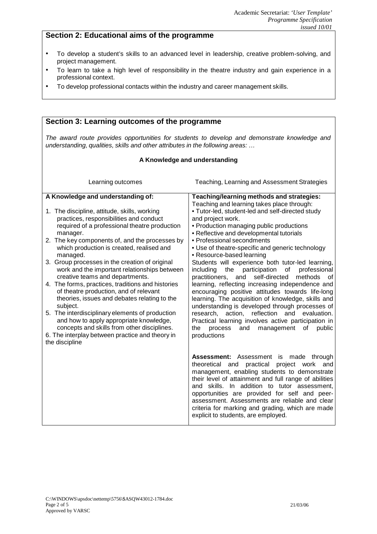### **Section 2: Educational aims of the programme**

- To develop a student's skills to an advanced level in leadership, creative problem-solving, and project management.
- To learn to take a high level of responsibility in the theatre industry and gain experience in a professional context.
- To develop professional contacts within the industry and career management skills.

### **Section 3: Learning outcomes of the programme**

*The award route provides opportunities for students to develop and demonstrate knowledge and understanding, qualities, skills and other attributes in the following areas: …*

#### **A Knowledge and understanding**

| Learning outcomes                                                                                                                                                                                                                                                                                                                                                                                                                                                                                                                                                                                                                                                                                                                                                                                                      | Teaching, Learning and Assessment Strategies                                                                                                                                                                                                                                                                                                                                                                                                                                                                                                                                                                                                                                                                                                                                                                                                                                                                                                           |
|------------------------------------------------------------------------------------------------------------------------------------------------------------------------------------------------------------------------------------------------------------------------------------------------------------------------------------------------------------------------------------------------------------------------------------------------------------------------------------------------------------------------------------------------------------------------------------------------------------------------------------------------------------------------------------------------------------------------------------------------------------------------------------------------------------------------|--------------------------------------------------------------------------------------------------------------------------------------------------------------------------------------------------------------------------------------------------------------------------------------------------------------------------------------------------------------------------------------------------------------------------------------------------------------------------------------------------------------------------------------------------------------------------------------------------------------------------------------------------------------------------------------------------------------------------------------------------------------------------------------------------------------------------------------------------------------------------------------------------------------------------------------------------------|
| A Knowledge and understanding of:<br>1. The discipline, attitude, skills, working<br>practices, responsibilities and conduct<br>required of a professional theatre production<br>manager.<br>2. The key components of, and the processes by<br>which production is created, realised and<br>managed.<br>3. Group processes in the creation of original<br>work and the important relationships between<br>creative teams and departments.<br>4. The forms, practices, traditions and histories<br>of theatre production, and of relevant<br>theories, issues and debates relating to the<br>subject.<br>5. The interdisciplinary elements of production<br>and how to apply appropriate knowledge,<br>concepts and skills from other disciplines.<br>6. The interplay between practice and theory in<br>the discipline | Teaching/learning methods and strategies:<br>Teaching and learning takes place through:<br>. Tutor-led, student-led and self-directed study<br>and project work.<br>• Production managing public productions<br>• Reflective and developmental tutorials<br>• Professional secondments<br>• Use of theatre-specific and generic technology<br>• Resource-based learning<br>Students will experience both tutor-led learning,<br>including<br>the<br>participation<br>of<br>professional<br>self-directed<br>practitioners,<br>and<br>methods<br>0f<br>learning, reflecting increasing independence and<br>encouraging positive attitudes towards life-long<br>learning. The acquisition of knowledge, skills and<br>understanding is developed through processes of<br>research, action, reflection<br>and<br>evaluation.<br>Practical learning involves active participation in<br>οf<br>public<br>the<br>process<br>and<br>management<br>productions |
|                                                                                                                                                                                                                                                                                                                                                                                                                                                                                                                                                                                                                                                                                                                                                                                                                        | <b>Assessment:</b> Assessment is made<br>through<br>theoretical and<br>practical<br>project work<br>and<br>management, enabling students to demonstrate<br>their level of attainment and full range of abilities<br>and skills. In addition to tutor assessment,<br>opportunities are provided for self and peer-<br>assessment. Assessments are reliable and clear<br>criteria for marking and grading, which are made<br>explicit to students, are employed.                                                                                                                                                                                                                                                                                                                                                                                                                                                                                         |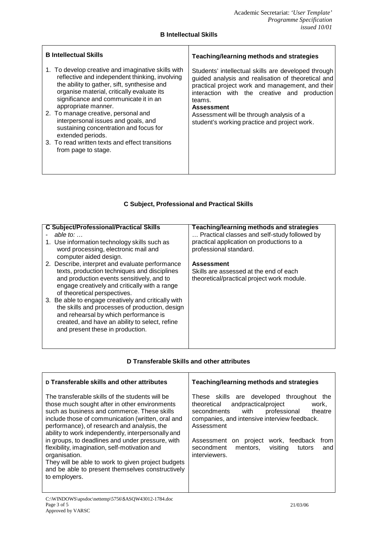### **B Intellectual Skills**

| <b>B</b> Intellectual Skills                                                                                                                                                                                                                                      | Teaching/learning methods and strategies                                                                                                                                                                                                     |  |
|-------------------------------------------------------------------------------------------------------------------------------------------------------------------------------------------------------------------------------------------------------------------|----------------------------------------------------------------------------------------------------------------------------------------------------------------------------------------------------------------------------------------------|--|
| 1. To develop creative and imaginative skills with<br>reflective and independent thinking, involving<br>the ability to gather, sift, synthesise and<br>organise material, critically evaluate its<br>significance and communicate it in an<br>appropriate manner. | Students' intellectual skills are developed through<br>guided analysis and realisation of theoretical and<br>practical project work and management, and their<br>interaction with the creative and production<br>teams.<br><b>Assessment</b> |  |
| 2. To manage creative, personal and<br>interpersonal issues and goals, and<br>sustaining concentration and focus for<br>extended periods.                                                                                                                         | Assessment will be through analysis of a<br>student's working practice and project work.                                                                                                                                                     |  |
| 3. To read written texts and effect transitions<br>from page to stage.                                                                                                                                                                                            |                                                                                                                                                                                                                                              |  |

## **C Subject, Professional and Practical Skills**

| <b>C Subject/Professional/Practical Skills</b><br>able to: $\dots$                                                                                                                                                                | Teaching/learning methods and strategies<br>Practical classes and self-study followed by |
|-----------------------------------------------------------------------------------------------------------------------------------------------------------------------------------------------------------------------------------|------------------------------------------------------------------------------------------|
| 1. Use information technology skills such as<br>word processing, electronic mail and<br>computer aided design.                                                                                                                    | practical application on productions to a<br>professional standard.                      |
| 2. Describe, interpret and evaluate performance                                                                                                                                                                                   | <b>Assessment</b>                                                                        |
| texts, production techniques and disciplines<br>and production events sensitively, and to<br>engage creatively and critically with a range<br>of theoretical perspectives.<br>3. Be able to engage creatively and critically with | Skills are assessed at the end of each<br>theoretical/practical project work module.     |
| the skills and processes of production, design<br>and rehearsal by which performance is<br>created, and have an ability to select, refine<br>and present these in production.                                                     |                                                                                          |

### **D Transferable Skills and other attributes**

| D Transferable skills and other attributes                                                                                                                                                                                                                                                                                                                                                                                                                                                                                                                 | Teaching/learning methods and strategies                                                                                                                                                                                                                                                                                                  |
|------------------------------------------------------------------------------------------------------------------------------------------------------------------------------------------------------------------------------------------------------------------------------------------------------------------------------------------------------------------------------------------------------------------------------------------------------------------------------------------------------------------------------------------------------------|-------------------------------------------------------------------------------------------------------------------------------------------------------------------------------------------------------------------------------------------------------------------------------------------------------------------------------------------|
| The transferable skills of the students will be<br>those much sought after in other environments<br>such as business and commerce. These skills<br>include those of communication (written, oral and<br>performance), of research and analysis, the<br>ability to work independently, interpersonally and<br>in groups, to deadlines and under pressure, with<br>flexibility, imagination, self-motivation and<br>organisation.<br>They will be able to work to given project budgets<br>and be able to present themselves constructively<br>to employers. | These skills are developed<br>throughout<br>the<br>andpracticalproject<br>theoretical<br>work,<br>with<br>theatre<br>secondments<br>professional<br>companies, and intensive interview feedback.<br>Assessment<br>work, feedback<br>Assessment on project<br>from<br>secondment<br>visiting<br>mentors,<br>tutors<br>and<br>interviewers. |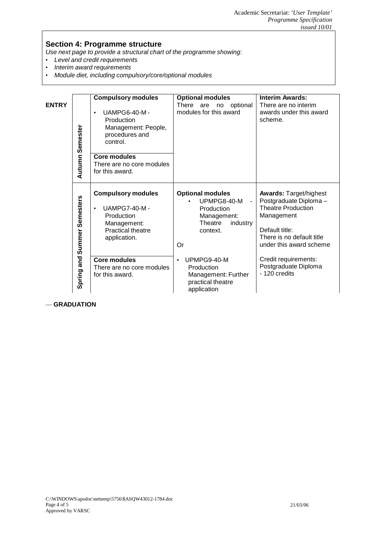# **Section 4: Programme structure**

*Use next page to provide a structural chart of the programme showing:*

- *Level and credit requirements*
- *Interim award requirements*
- *Module diet, including compulsory/core/optional modules*

|              |                        | <b>Compulsory modules</b>                                                                                                              | <b>Optional modules</b>                                                                                                        | <b>Interim Awards:</b>                                                                                                                                                      |
|--------------|------------------------|----------------------------------------------------------------------------------------------------------------------------------------|--------------------------------------------------------------------------------------------------------------------------------|-----------------------------------------------------------------------------------------------------------------------------------------------------------------------------|
| <b>ENTRY</b> | <b>Autumn Semester</b> | <b>UAMPG6-40-M-</b><br>$\bullet$<br>Production<br>Management: People,<br>procedures and<br>control.                                    | optional<br>There<br>are<br>no<br>modules for this award                                                                       | There are no interim<br>awards under this award<br>scheme.                                                                                                                  |
|              |                        | <b>Core modules</b><br>There are no core modules<br>for this award.                                                                    |                                                                                                                                |                                                                                                                                                                             |
|              | Summer Semesters       | <b>Compulsory modules</b><br><b>UAMPG7-40-M-</b><br>$\bullet$<br>Production<br>Management:<br><b>Practical theatre</b><br>application. | <b>Optional modules</b><br>UPMPG8-40-M<br>$\blacksquare$<br>Production<br>Management:<br>Theatre<br>industry<br>context.<br>Or | <b>Awards: Target/highest</b><br>Postgraduate Diploma-<br><b>Theatre Production</b><br>Management<br>Default title:<br>There is no default title<br>under this award scheme |
|              | Spring and             | <b>Core modules</b><br>There are no core modules<br>for this award.                                                                    | UPMPG9-40-M<br>$\bullet$<br>Production<br>Management: Further<br>practical theatre<br>application                              | Credit requirements:<br>Postgraduate Diploma<br>- 120 credits                                                                                                               |

−−− **GRADUATION**